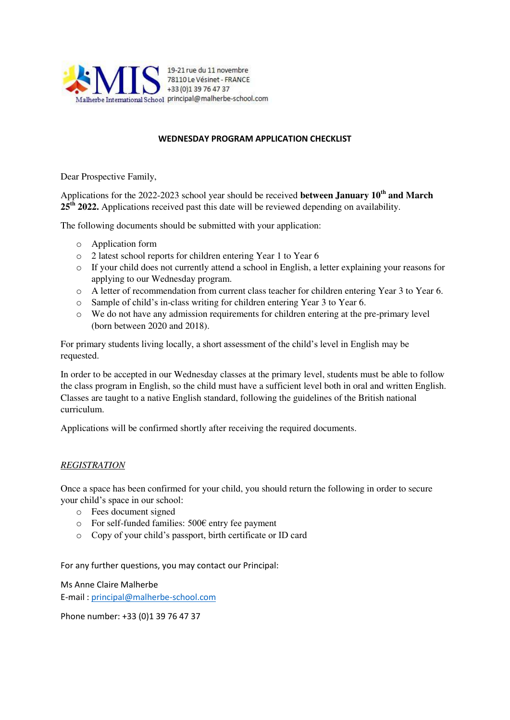

#### **WEDNESDAY PROGRAM APPLICATION CHECKLIST**

Dear Prospective Family,

Applications for the 2022-2023 school year should be received **between January 10th and March 25th 2022.** Applications received past this date will be reviewed depending on availability.

The following documents should be submitted with your application:

- o Application form
- o 2 latest school reports for children entering Year 1 to Year 6
- $\circ$  If your child does not currently attend a school in English, a letter explaining your reasons for applying to our Wednesday program.
- o A letter of recommendation from current class teacher for children entering Year 3 to Year 6.
- o Sample of child's in-class writing for children entering Year 3 to Year 6.
- o We do not have any admission requirements for children entering at the pre-primary level (born between 2020 and 2018).

For primary students living locally, a short assessment of the child's level in English may be requested.

In order to be accepted in our Wednesday classes at the primary level, students must be able to follow the class program in English, so the child must have a sufficient level both in oral and written English. Classes are taught to a native English standard, following the guidelines of the British national curriculum.

Applications will be confirmed shortly after receiving the required documents.

# *REGISTRATION*

Once a space has been confirmed for your child, you should return the following in order to secure your child's space in our school:

- o Fees document signed
- o For self-funded families: 500€ entry fee payment
- o Copy of your child's passport, birth certificate or ID card

For any further questions, you may contact our Principal:

Ms Anne Claire Malherbe E-mail [: principal@malherbe-school.com](mailto:principal@malherbe-school.com)

Phone number: +33 (0)1 39 76 47 37